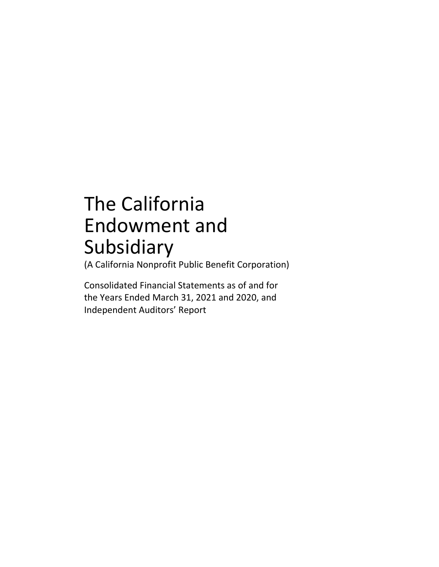## The California Endowment and Subsidiary

(A California Nonprofit Public Benefit Corporation)

Consolidated Financial Statements as of and for the Years Ended March 31, 2021 and 2020, and Independent Auditors' Report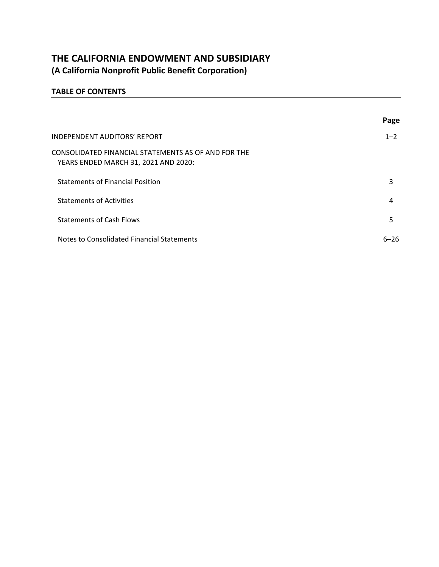### **THE CALIFORNIA ENDOWMENT AND SUBSIDIARY**

#### **(A California Nonprofit Public Benefit Corporation)**

#### **TABLE OF CONTENTS**

|                                                                                             | Page     |
|---------------------------------------------------------------------------------------------|----------|
| INDEPENDENT AUDITORS' REPORT                                                                | $1 - 2$  |
| CONSOLIDATED FINANCIAL STATEMENTS AS OF AND FOR THE<br>YEARS ENDED MARCH 31, 2021 AND 2020: |          |
| <b>Statements of Financial Position</b>                                                     | 3        |
| <b>Statements of Activities</b>                                                             | 4        |
| <b>Statements of Cash Flows</b>                                                             | 5        |
| Notes to Consolidated Financial Statements                                                  | $6 - 26$ |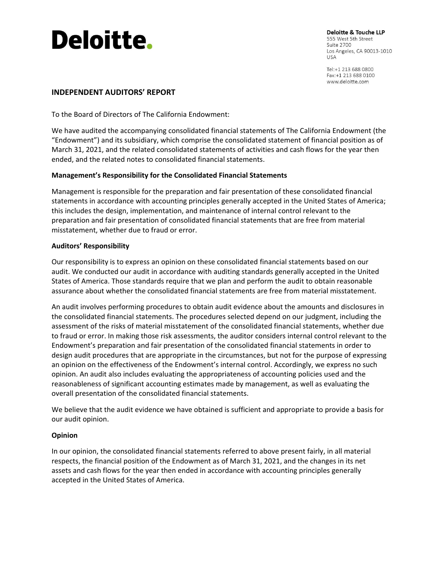# I

Deloitte & Touche LLP 555 West 5th Street **Suite 2700** Los Angeles, CA 90013-1010 **USA** 

Tel:+1 213 688 0800 Fax:+1 213 688 0100 www.deloitte.com

#### **INDEPENDENT AUDITORS' REPORT**

To the Board of Directors of The California Endowment:

We have audited the accompanying consolidated financial statements of The California Endowment (the "Endowment") and its subsidiary, which comprise the consolidated statement of financial position as of March 31, 2021, and the related consolidated statements of activities and cash flows for the year then ended, and the related notes to consolidated financial statements.

#### **Management's Responsibility for the Consolidated Financial Statements**

Management is responsible for the preparation and fair presentation of these consolidated financial statements in accordance with accounting principles generally accepted in the United States of America; this includes the design, implementation, and maintenance of internal control relevant to the preparation and fair presentation of consolidated financial statements that are free from material misstatement, whether due to fraud or error.

#### **Auditors' Responsibility**

Our responsibility is to express an opinion on these consolidated financial statements based on our audit. We conducted our audit in accordance with auditing standards generally accepted in the United States of America. Those standards require that we plan and perform the audit to obtain reasonable assurance about whether the consolidated financial statements are free from material misstatement.

An audit involves performing procedures to obtain audit evidence about the amounts and disclosures in the consolidated financial statements. The procedures selected depend on our judgment, including the assessment of the risks of material misstatement of the consolidated financial statements, whether due to fraud or error. In making those risk assessments, the auditor considers internal control relevant to the Endowment's preparation and fair presentation of the consolidated financial statements in order to design audit procedures that are appropriate in the circumstances, but not for the purpose of expressing an opinion on the effectiveness of the Endowment's internal control. Accordingly, we express no such opinion. An audit also includes evaluating the appropriateness of accounting policies used and the reasonableness of significant accounting estimates made by management, as well as evaluating the overall presentation of the consolidated financial statements.

We believe that the audit evidence we have obtained is sufficient and appropriate to provide a basis for our audit opinion.

#### **Opinion**

In our opinion, the consolidated financial statements referred to above present fairly, in all material respects, the financial position of the Endowment as of March 31, 2021, and the changes in its net assets and cash flows for the year then ended in accordance with accounting principles generally accepted in the United States of America.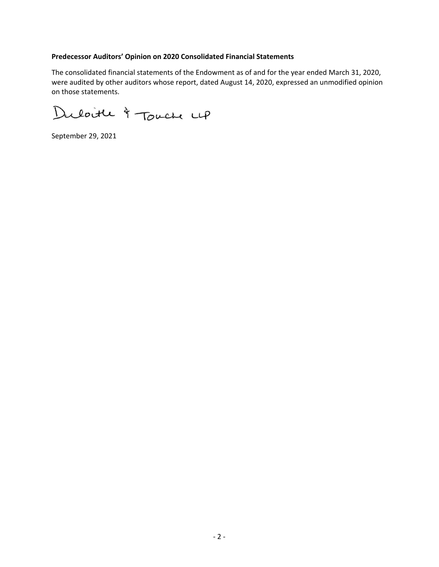#### **Predecessor Auditors' Opinion on 2020 Consolidated Financial Statements**

The consolidated financial statements of the Endowment as of and for the year ended March 31, 2020, were audited by other auditors whose report, dated August 14, 2020, expressed an unmodified opinion on those statements.

Duloite & Touche UP

September 29, 2021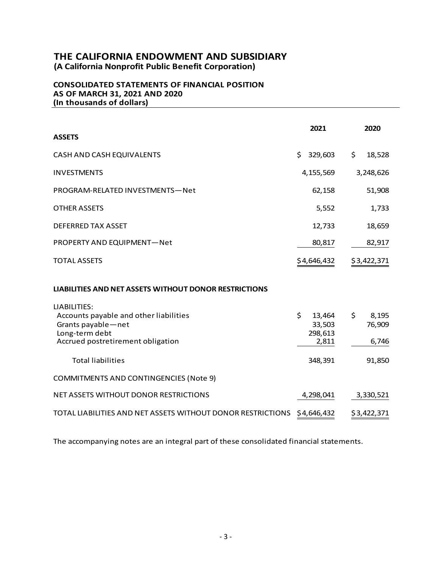#### **THE CALIFORNIA ENDOWMENT AND SUBSIDIARY (A California Nonprofit Public Benefit Corporation)**

#### **CONSOLIDATED STATEMENTS OF FINANCIAL POSITION AS OF MARCH 31, 2021 AND 2020 (In thousands of dollars)**

| <b>ASSETS</b>                                                                                                                       | 2021                                       | 2020                           |
|-------------------------------------------------------------------------------------------------------------------------------------|--------------------------------------------|--------------------------------|
| CASH AND CASH EQUIVALENTS                                                                                                           | 329,603<br>\$                              | \$<br>18,528                   |
| <b>INVESTMENTS</b>                                                                                                                  | 4,155,569                                  | 3,248,626                      |
| PROGRAM-RELATED INVESTMENTS-Net                                                                                                     | 62,158                                     | 51,908                         |
| <b>OTHER ASSETS</b>                                                                                                                 | 5,552                                      | 1,733                          |
| <b>DEFERRED TAX ASSET</b>                                                                                                           | 12,733                                     | 18,659                         |
| <b>PROPERTY AND EQUIPMENT-Net</b>                                                                                                   | 80,817                                     | 82,917                         |
| <b>TOTAL ASSETS</b>                                                                                                                 | \$4,646,432                                | \$3,422,371                    |
| <b>LIABILITIES AND NET ASSETS WITHOUT DONOR RESTRICTIONS</b>                                                                        |                                            |                                |
| LIABILITIES:<br>Accounts payable and other liabilities<br>Grants payable-net<br>Long-term debt<br>Accrued postretirement obligation | \$<br>13,464<br>33,503<br>298,613<br>2,811 | \$<br>8,195<br>76,909<br>6,746 |
| <b>Total liabilities</b>                                                                                                            | 348,391                                    | 91,850                         |
| <b>COMMITMENTS AND CONTINGENCIES (Note 9)</b>                                                                                       |                                            |                                |
| NET ASSETS WITHOUT DONOR RESTRICTIONS                                                                                               | 4,298,041                                  | 3,330,521                      |
| TOTAL LIABILITIES AND NET ASSETS WITHOUT DONOR RESTRICTIONS                                                                         | \$4,646,432                                | \$3,422,371                    |

The accompanying notes are an integral part of these consolidated financial statements.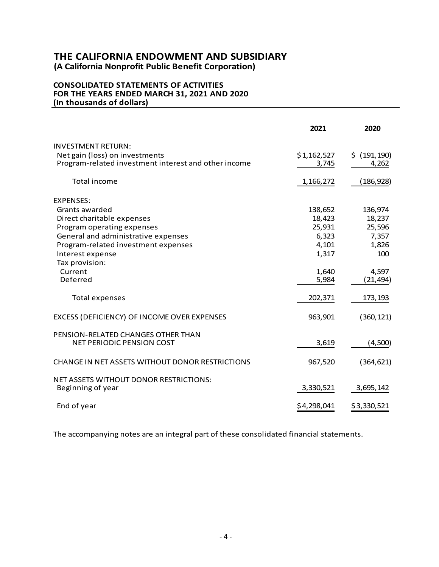#### **THE CALIFORNIA ENDOWMENT AND SUBSIDIARY (A California Nonprofit Public Benefit Corporation)**

#### **CONSOLIDATED STATEMENTS OF ACTIVITIES FOR THE YEARS ENDED MARCH 31, 2021 AND 2020 (In thousands of dollars)**

|                                                                                                                     | 2021                 | 2020                   |
|---------------------------------------------------------------------------------------------------------------------|----------------------|------------------------|
| <b>INVESTMENT RETURN:</b><br>Net gain (loss) on investments<br>Program-related investment interest and other income | \$1,162,527<br>3,745 | \$ (191, 190)<br>4,262 |
| Total income                                                                                                        | 1,166,272            | (186, 928)             |
| <b>EXPENSES:</b><br>Grants awarded                                                                                  | 138,652              | 136,974                |
| Direct charitable expenses                                                                                          | 18,423               | 18,237                 |
| Program operating expenses                                                                                          | 25,931               | 25,596                 |
| General and administrative expenses                                                                                 | 6,323                | 7,357                  |
| Program-related investment expenses                                                                                 | 4,101                | 1,826                  |
| Interest expense                                                                                                    | 1,317                | 100                    |
| Tax provision:<br>Current<br>Deferred                                                                               | 1,640<br>5,984       | 4,597<br>(21, 494)     |
| <b>Total expenses</b>                                                                                               | 202,371              | 173,193                |
| EXCESS (DEFICIENCY) OF INCOME OVER EXPENSES                                                                         | 963,901              | (360, 121)             |
| PENSION-RELATED CHANGES OTHER THAN<br><b>NET PERIODIC PENSION COST</b>                                              | 3,619                | (4,500)                |
| CHANGE IN NET ASSETS WITHOUT DONOR RESTRICTIONS                                                                     | 967,520              | (364, 621)             |
| <b>NET ASSETS WITHOUT DONOR RESTRICTIONS:</b><br>Beginning of year                                                  | 3,330,521            | 3,695,142              |
| End of year                                                                                                         | \$4,298,041          | \$3,330,521            |

The accompanying notes are an integral part of these consolidated financial statements.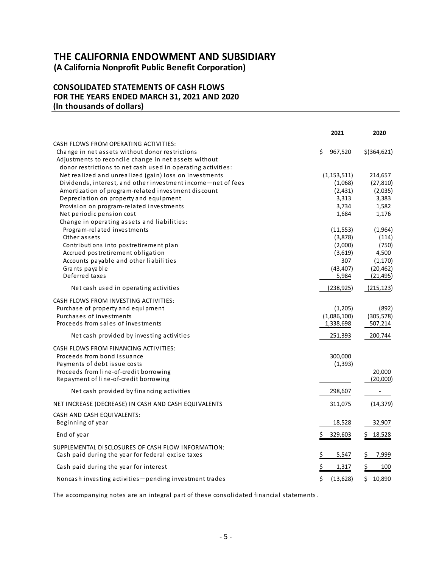#### **THE CALIFORNIA ENDOWMENT AND SUBSIDIARY (A California Nonprofit Public Benefit Corporation)**

#### **CONSOLIDATED STATEMENTS OF CASH FLOWS FOR THE YEARS ENDED MARCH 31, 2021 AND 2020 (In thousands of dollars)**

|                                                              | 2021            | 2020                     |
|--------------------------------------------------------------|-----------------|--------------------------|
| CASH FLOWS FROM OPERATING ACTIVITIES:                        |                 |                          |
| Change in net assets without donor restrictions              | \$<br>967,520   | $$$ (364,621)            |
| Adjustments to reconcile change in net assets without        |                 |                          |
| donor restrictions to net cash used in operating activities: |                 |                          |
| Net realized and unrealized (gain) loss on investments       | (1, 153, 511)   | 214,657                  |
| Dividends, interest, and other investment income-net of fees | (1,068)         | (27, 810)                |
| Amortization of program-related investment discount          | (2, 431)        | (2,035)                  |
| Depreciation on property and equipment                       | 3,313           | 3,383                    |
| Provision on program-related investments                     | 3,734           | 1,582                    |
| Net periodic pension cost                                    | 1,684           | 1,176                    |
| Change in operating assets and liabilities:                  |                 |                          |
| Program-related investments                                  | (11, 553)       | (1,964)                  |
| Other assets                                                 | (3,878)         | (114)                    |
| Contributions into postretirement plan                       | (2,000)         | (750)                    |
| Accrued postretirement obligation                            | (3,619)         | 4,500                    |
| Accounts payable and other liabilities                       | 307             | (1, 170)                 |
| Grants payable                                               | (43, 407)       | (20, 462)                |
| Deferred taxes                                               | 5,984           | (21, 495)                |
|                                                              |                 |                          |
| Net cash used in operating activities                        | (238, 925)      | (215, 123)               |
| CASH FLOWS FROM INVESTING ACTIVITIES:                        |                 |                          |
| Purchase of property and equipment                           | (1,205)         | (892)                    |
| Purchases of investments                                     | (1,086,100)     | (305, 578)               |
| Proceeds from sales of investments                           | 1,338,698       | 507,214                  |
| Net cash provided by investing activities                    | 251,393         | 200,744                  |
| CASH FLOWS FROM FINANCING ACTIVITIES:                        |                 |                          |
| Proceeds from bond issuance                                  | 300,000         |                          |
| Payments of debt issue costs                                 | (1, 393)        |                          |
| Proceeds from line-of-credit borrowing                       |                 | 20,000                   |
| Repayment of line-of-credit borrowing                        |                 | (20,000)                 |
| Net cash provided by financing activities                    | 298,607         | $\overline{\phantom{a}}$ |
| NET INCREASE (DECREASE) IN CASH AND CASH EQUIVALENTS         | 311,075         | (14, 379)                |
| CASH AND CASH EQUIVALENTS:                                   |                 |                          |
| Beginning of year                                            | 18,528          | 32,907                   |
|                                                              |                 |                          |
| End of year                                                  | 329,603<br>Ś    | \$<br>18,528             |
| SUPPLEMENTAL DISCLOSURES OF CASH FLOW INFORMATION:           |                 |                          |
| Cash paid during the year for federal excise taxes           | 5,547<br>Ş      | \$<br>7,999              |
| Cash paid during the year for interest                       | \$<br>1,317     | \$<br>100                |
| Noncash investing activities-pending investment trades       | \$<br>(13, 628) | \$10,890                 |

The accompanying notes are an integral part of these consolidated financial statements.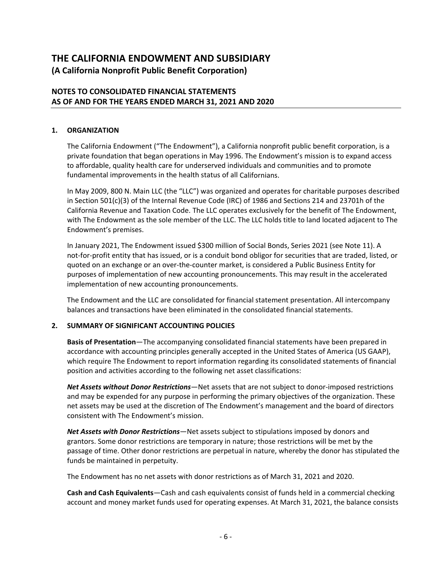#### **THE CALIFORNIA ENDOWMENT AND SUBSIDIARY**

**(A California Nonprofit Public Benefit Corporation)**

#### **NOTES TO CONSOLIDATED FINANCIAL STATEMENTS AS OF AND FOR THE YEARS ENDED MARCH 31, 2021 AND 2020**

#### **1. ORGANIZATION**

The California Endowment ("The Endowment"), a California nonprofit public benefit corporation, is a private foundation that began operations in May 1996. The Endowment's mission is to expand access to affordable, quality health care for underserved individuals and communities and to promote fundamental improvements in the health status of all Californians.

In May 2009, 800 N. Main LLC (the "LLC") was organized and operates for charitable purposes described in Section 501(c)(3) of the Internal Revenue Code (IRC) of 1986 and Sections 214 and 23701h of the California Revenue and Taxation Code. The LLC operates exclusively for the benefit of The Endowment, with The Endowment as the sole member of the LLC. The LLC holds title to land located adjacent to The Endowment's premises.

In January 2021, The Endowment issued \$300 million of Social Bonds, Series 2021 (see Note 11). A not‐for‐profit entity that has issued, or is a conduit bond obligor for securities that are traded, listed, or quoted on an exchange or an over‐the‐counter market, is considered a Public Business Entity for purposes of implementation of new accounting pronouncements. This may result in the accelerated implementation of new accounting pronouncements.

The Endowment and the LLC are consolidated for financial statement presentation. All intercompany balances and transactions have been eliminated in the consolidated financial statements.

#### **2. SUMMARY OF SIGNIFICANT ACCOUNTING POLICIES**

**Basis of Presentation**—The accompanying consolidated financial statements have been prepared in accordance with accounting principles generally accepted in the United States of America (US GAAP), which require The Endowment to report information regarding its consolidated statements of financial position and activities according to the following net asset classifications:

*Net Assets without Donor Restrictions*—Net assets that are not subject to donor‐imposed restrictions and may be expended for any purpose in performing the primary objectives of the organization. These net assets may be used at the discretion of The Endowment's management and the board of directors consistent with The Endowment's mission.

*Net Assets with Donor Restrictions*—Net assets subject to stipulations imposed by donors and grantors. Some donor restrictions are temporary in nature; those restrictions will be met by the passage of time. Other donor restrictions are perpetual in nature, whereby the donor has stipulated the funds be maintained in perpetuity.

The Endowment has no net assets with donor restrictions as of March 31, 2021 and 2020.

**Cash and Cash Equivalents**—Cash and cash equivalents consist of funds held in a commercial checking account and money market funds used for operating expenses. At March 31, 2021, the balance consists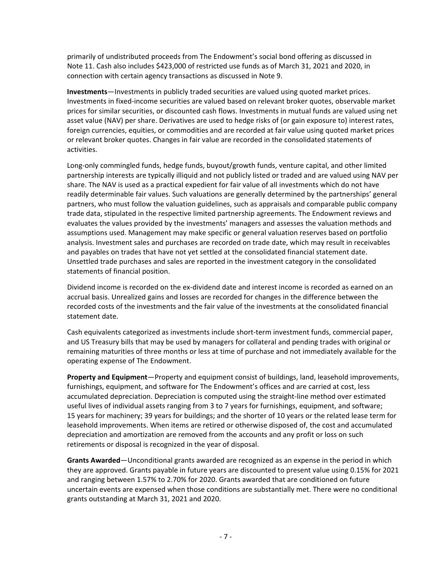primarily of undistributed proceeds from The Endowment's social bond offering as discussed in Note 11. Cash also includes \$423,000 of restricted use funds as of March 31, 2021 and 2020, in connection with certain agency transactions as discussed in Note 9.

**Investments**—Investments in publicly traded securities are valued using quoted market prices. Investments in fixed‐income securities are valued based on relevant broker quotes, observable market prices for similar securities, or discounted cash flows. Investments in mutual funds are valued using net asset value (NAV) per share. Derivatives are used to hedge risks of (or gain exposure to) interest rates, foreign currencies, equities, or commodities and are recorded at fair value using quoted market prices or relevant broker quotes. Changes in fair value are recorded in the consolidated statements of activities.

Long-only commingled funds, hedge funds, buyout/growth funds, venture capital, and other limited partnership interests are typically illiquid and not publicly listed or traded and are valued using NAV per share. The NAV is used as a practical expedient for fair value of all investments which do not have readily determinable fair values. Such valuations are generally determined by the partnerships' general partners, who must follow the valuation guidelines, such as appraisals and comparable public company trade data, stipulated in the respective limited partnership agreements. The Endowment reviews and evaluates the values provided by the investments' managers and assesses the valuation methods and assumptions used. Management may make specific or general valuation reserves based on portfolio analysis. Investment sales and purchases are recorded on trade date, which may result in receivables and payables on trades that have not yet settled at the consolidated financial statement date. Unsettled trade purchases and sales are reported in the investment category in the consolidated statements of financial position.

Dividend income is recorded on the ex‐dividend date and interest income is recorded as earned on an accrual basis. Unrealized gains and losses are recorded for changes in the difference between the recorded costs of the investments and the fair value of the investments at the consolidated financial statement date.

Cash equivalents categorized as investments include short‐term investment funds, commercial paper, and US Treasury bills that may be used by managers for collateral and pending trades with original or remaining maturities of three months or less at time of purchase and not immediately available for the operating expense of The Endowment.

**Property and Equipment**—Property and equipment consist of buildings, land, leasehold improvements, furnishings, equipment, and software for The Endowment's offices and are carried at cost, less accumulated depreciation. Depreciation is computed using the straight‐line method over estimated useful lives of individual assets ranging from 3 to 7 years for furnishings, equipment, and software; 15 years for machinery; 39 years for buildings; and the shorter of 10 years or the related lease term for leasehold improvements. When items are retired or otherwise disposed of, the cost and accumulated depreciation and amortization are removed from the accounts and any profit or loss on such retirements or disposal is recognized in the year of disposal.

**Grants Awarded**—Unconditional grants awarded are recognized as an expense in the period in which they are approved. Grants payable in future years are discounted to present value using 0.15% for 2021 and ranging between 1.57% to 2.70% for 2020. Grants awarded that are conditioned on future uncertain events are expensed when those conditions are substantially met. There were no conditional grants outstanding at March 31, 2021 and 2020.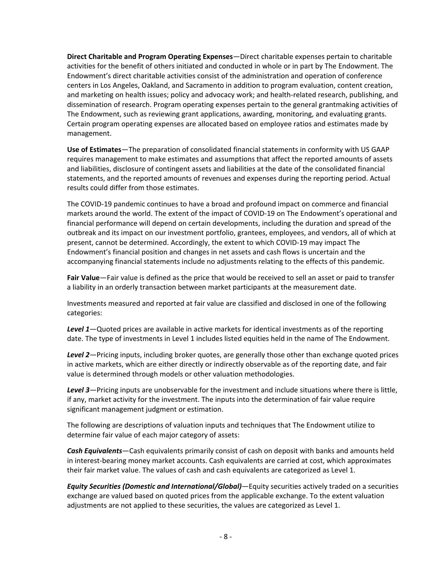**Direct Charitable and Program Operating Expenses**—Direct charitable expenses pertain to charitable activities for the benefit of others initiated and conducted in whole or in part by The Endowment. The Endowment's direct charitable activities consist of the administration and operation of conference centers in Los Angeles, Oakland, and Sacramento in addition to program evaluation, content creation, and marketing on health issues; policy and advocacy work; and health-related research, publishing, and dissemination of research. Program operating expenses pertain to the general grantmaking activities of The Endowment, such as reviewing grant applications, awarding, monitoring, and evaluating grants. Certain program operating expenses are allocated based on employee ratios and estimates made by management.

**Use of Estimates**—The preparation of consolidated financial statements in conformity with US GAAP requires management to make estimates and assumptions that affect the reported amounts of assets and liabilities, disclosure of contingent assets and liabilities at the date of the consolidated financial statements, and the reported amounts of revenues and expenses during the reporting period. Actual results could differ from those estimates.

The COVID‐19 pandemic continues to have a broad and profound impact on commerce and financial markets around the world. The extent of the impact of COVID‐19 on The Endowment's operational and financial performance will depend on certain developments, including the duration and spread of the outbreak and its impact on our investment portfolio, grantees, employees, and vendors, all of which at present, cannot be determined. Accordingly, the extent to which COVID‐19 may impact The Endowment's financial position and changes in net assets and cash flows is uncertain and the accompanying financial statements include no adjustments relating to the effects of this pandemic.

**Fair Value**—Fair value is defined as the price that would be received to sell an asset or paid to transfer a liability in an orderly transaction between market participants at the measurement date.

Investments measured and reported at fair value are classified and disclosed in one of the following categories:

*Level 1*—Quoted prices are available in active markets for identical investments as of the reporting date. The type of investments in Level 1 includes listed equities held in the name of The Endowment.

*Level 2*—Pricing inputs, including broker quotes, are generally those other than exchange quoted prices in active markets, which are either directly or indirectly observable as of the reporting date, and fair value is determined through models or other valuation methodologies.

*Level 3*—Pricing inputs are unobservable for the investment and include situations where there is little, if any, market activity for the investment. The inputs into the determination of fair value require significant management judgment or estimation.

The following are descriptions of valuation inputs and techniques that The Endowment utilize to determine fair value of each major category of assets:

*Cash Equivalents*—Cash equivalents primarily consist of cash on deposit with banks and amounts held in interest‐bearing money market accounts. Cash equivalents are carried at cost, which approximates their fair market value. The values of cash and cash equivalents are categorized as Level 1.

*Equity Securities (Domestic and International/Global)*—Equity securities actively traded on a securities exchange are valued based on quoted prices from the applicable exchange. To the extent valuation adjustments are not applied to these securities, the values are categorized as Level 1.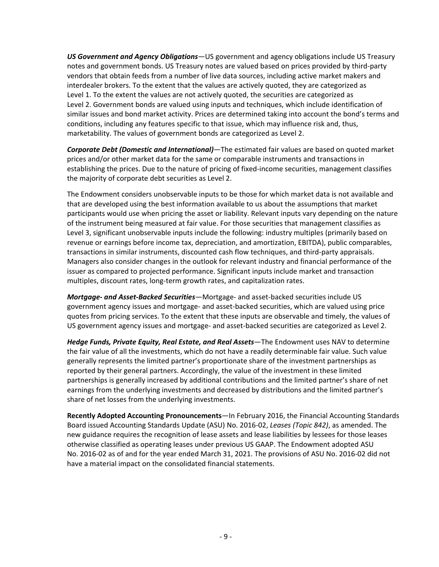*US Government and Agency Obligations*—US government and agency obligations include US Treasury notes and government bonds. US Treasury notes are valued based on prices provided by third‐party vendors that obtain feeds from a number of live data sources, including active market makers and interdealer brokers. To the extent that the values are actively quoted, they are categorized as Level 1. To the extent the values are not actively quoted, the securities are categorized as Level 2. Government bonds are valued using inputs and techniques, which include identification of similar issues and bond market activity. Prices are determined taking into account the bond's terms and conditions, including any features specific to that issue, which may influence risk and, thus, marketability. The values of government bonds are categorized as Level 2.

*Corporate Debt (Domestic and International)*—The estimated fair values are based on quoted market prices and/or other market data for the same or comparable instruments and transactions in establishing the prices. Due to the nature of pricing of fixed‐income securities, management classifies the majority of corporate debt securities as Level 2.

The Endowment considers unobservable inputs to be those for which market data is not available and that are developed using the best information available to us about the assumptions that market participants would use when pricing the asset or liability. Relevant inputs vary depending on the nature of the instrument being measured at fair value. For those securities that management classifies as Level 3, significant unobservable inputs include the following: industry multiples (primarily based on revenue or earnings before income tax, depreciation, and amortization, EBITDA), public comparables, transactions in similar instruments, discounted cash flow techniques, and third‐party appraisals. Managers also consider changes in the outlook for relevant industry and financial performance of the issuer as compared to projected performance. Significant inputs include market and transaction multiples, discount rates, long‐term growth rates, and capitalization rates.

*Mortgage‐ and Asset‐Backed Securities*—Mortgage‐ and asset‐backed securities include US government agency issues and mortgage‐ and asset‐backed securities, which are valued using price quotes from pricing services. To the extent that these inputs are observable and timely, the values of US government agency issues and mortgage- and asset-backed securities are categorized as Level 2.

*Hedge Funds, Private Equity, Real Estate, and Real Assets*—The Endowment uses NAV to determine the fair value of all the investments, which do not have a readily determinable fair value. Such value generally represents the limited partner's proportionate share of the investment partnerships as reported by their general partners. Accordingly, the value of the investment in these limited partnerships is generally increased by additional contributions and the limited partner's share of net earnings from the underlying investments and decreased by distributions and the limited partner's share of net losses from the underlying investments.

**Recently Adopted Accounting Pronouncements**—In February 2016, the Financial Accounting Standards Board issued Accounting Standards Update (ASU) No. 2016‐02, *Leases (Topic 842)*, as amended. The new guidance requires the recognition of lease assets and lease liabilities by lessees for those leases otherwise classified as operating leases under previous US GAAP. The Endowment adopted ASU No. 2016‐02 as of and for the year ended March 31, 2021. The provisions of ASU No. 2016‐02 did not have a material impact on the consolidated financial statements.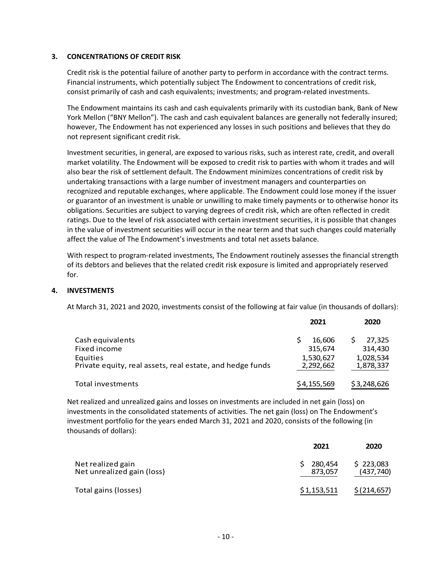#### **3. CONCENTRATIONS OF CREDIT RISK**

Credit risk is the potential failure of another party to perform in accordance with the contract terms. Financial instruments, which potentially subject The Endowment to concentrations of credit risk, consist primarily of cash and cash equivalents; investments; and program‐related investments.

The Endowment maintains its cash and cash equivalents primarily with its custodian bank, Bank of New York Mellon ("BNY Mellon"). The cash and cash equivalent balances are generally not federally insured; however, The Endowment has not experienced any losses in such positions and believes that they do not represent significant credit risk.

Investment securities, in general, are exposed to various risks, such as interest rate, credit, and overall market volatility. The Endowment will be exposed to credit risk to parties with whom it trades and will also bear the risk of settlement default. The Endowment minimizes concentrations of credit risk by undertaking transactions with a large number of investment managers and counterparties on recognized and reputable exchanges, where applicable. The Endowment could lose money if the issuer or guarantor of an investment is unable or unwilling to make timely payments or to otherwise honor its obligations. Securities are subject to varying degrees of credit risk, which are often reflected in credit ratings. Due to the level of risk associated with certain investment securities, it is possible that changes in the value of investment securities will occur in the near term and that such changes could materially affect the value of The Endowment's investments and total net assets balance.

With respect to program-related investments, The Endowment routinely assesses the financial strength of its debtors and believes that the related credit risk exposure is limited and appropriately reserved for.

#### **4. INVESTMENTS**

At March 31, 2021 and 2020, investments consist of the following at fair value (in thousands of dollars):

|                                                           | 2021        | 2020        |
|-----------------------------------------------------------|-------------|-------------|
| Cash equivalents                                          | 16.606      | 27,325      |
| Fixed income                                              | 315,674     | 314.430     |
| Equities                                                  | 1,530,627   | 1,028,534   |
| Private equity, real assets, real estate, and hedge funds | 2,292,662   | 1,878,337   |
| Total investments                                         | \$4,155,569 | \$3,248,626 |

Net realized and unrealized gains and losses on investments are included in net gain (loss) on investments in the consolidated statements of activities. The net gain (loss) on The Endowment's investment portfolio for the years ended March 31, 2021 and 2020, consists of the following (in thousands of dollars):

|                                                 | 2021               | 2020                    |
|-------------------------------------------------|--------------------|-------------------------|
| Net realized gain<br>Net unrealized gain (loss) | 280,454<br>873,057 | \$223,083<br>(437, 740) |
| Total gains (losses)                            | \$1,153,511        | \$(214, 657)            |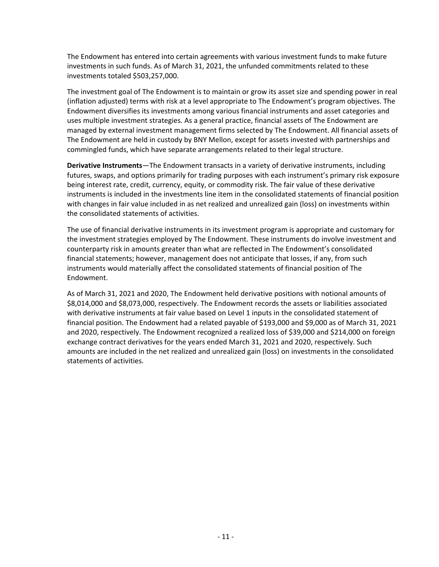The Endowment has entered into certain agreements with various investment funds to make future investments in such funds. As of March 31, 2021, the unfunded commitments related to these investments totaled \$503,257,000.

The investment goal of The Endowment is to maintain or grow its asset size and spending power in real (inflation adjusted) terms with risk at a level appropriate to The Endowment's program objectives. The Endowment diversifies its investments among various financial instruments and asset categories and uses multiple investment strategies. As a general practice, financial assets of The Endowment are managed by external investment management firms selected by The Endowment. All financial assets of The Endowment are held in custody by BNY Mellon, except for assets invested with partnerships and commingled funds, which have separate arrangements related to their legal structure.

**Derivative Instruments**—The Endowment transacts in a variety of derivative instruments, including futures, swaps, and options primarily for trading purposes with each instrument's primary risk exposure being interest rate, credit, currency, equity, or commodity risk. The fair value of these derivative instruments is included in the investments line item in the consolidated statements of financial position with changes in fair value included in as net realized and unrealized gain (loss) on investments within the consolidated statements of activities.

The use of financial derivative instruments in its investment program is appropriate and customary for the investment strategies employed by The Endowment. These instruments do involve investment and counterparty risk in amounts greater than what are reflected in The Endowment's consolidated financial statements; however, management does not anticipate that losses, if any, from such instruments would materially affect the consolidated statements of financial position of The Endowment.

As of March 31, 2021 and 2020, The Endowment held derivative positions with notional amounts of \$8,014,000 and \$8,073,000, respectively. The Endowment records the assets or liabilities associated with derivative instruments at fair value based on Level 1 inputs in the consolidated statement of financial position. The Endowment had a related payable of \$193,000 and \$9,000 as of March 31, 2021 and 2020, respectively. The Endowment recognized a realized loss of \$39,000 and \$214,000 on foreign exchange contract derivatives for the years ended March 31, 2021 and 2020, respectively. Such amounts are included in the net realized and unrealized gain (loss) on investments in the consolidated statements of activities.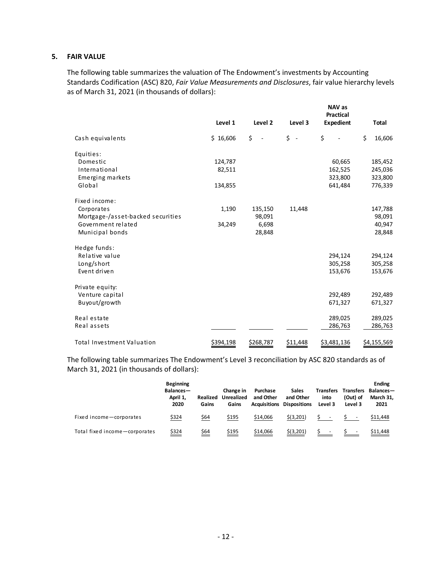#### **5. FAIR VALUE**

The following table summarizes the valuation of The Endowment's investments by Accounting Standards Codification (ASC) 820, *Fair Value Measurements and Disclosures*, fair value hierarchy levels as of March 31, 2021 (in thousands of dollars):

|                                   | Level 1   | Level 2          | Level 3   | <b>NAV</b> as<br><b>Practical</b><br><b>Expedient</b> | <b>Total</b> |
|-----------------------------------|-----------|------------------|-----------|-------------------------------------------------------|--------------|
| Cash equivalents                  | \$16,606  | \$<br>$\sim$ $-$ | $\zeta -$ | \$                                                    | \$<br>16,606 |
| Equities:                         |           |                  |           |                                                       |              |
| Domestic                          | 124,787   |                  |           | 60,665                                                | 185,452      |
| International                     | 82,511    |                  |           | 162,525                                               | 245,036      |
| Emerging markets                  |           |                  |           | 323,800                                               | 323,800      |
| Global                            | 134,855   |                  |           | 641,484                                               | 776,339      |
| Fixed income:                     |           |                  |           |                                                       |              |
| Corporates                        | 1,190     | 135,150          | 11,448    |                                                       | 147,788      |
| Mortgage-/asset-backed securities |           | 98,091           |           |                                                       | 98,091       |
| Government related                | 34,249    | 6,698            |           |                                                       | 40,947       |
| Municipal bonds                   |           | 28,848           |           |                                                       | 28,848       |
| Hedge funds:                      |           |                  |           |                                                       |              |
| Relative value                    |           |                  |           | 294,124                                               | 294,124      |
| Long/short                        |           |                  |           | 305,258                                               | 305,258      |
| Event driven                      |           |                  |           | 153,676                                               | 153,676      |
| Private equity:                   |           |                  |           |                                                       |              |
| Venture capital                   |           |                  |           | 292,489                                               | 292,489      |
| Buyout/growth                     |           |                  |           | 671,327                                               | 671,327      |
| Real estate                       |           |                  |           | 289,025                                               | 289,025      |
| Real assets                       |           |                  |           | 286,763                                               | 286,763      |
| <b>Total Investment Valuation</b> | \$394,198 | \$268,787        | \$11,448  | \$3,481,136                                           | \$4,155,569  |

The following table summarizes The Endowment's Level 3 reconciliation by ASC 820 standards as of March 31, 2021 (in thousands of dollars):

|                               | <b>Beginning</b><br>Balances-<br>April 1,<br>2020 | Realized<br>Gains | Change in<br><b>Unrealized</b><br>Gains | Purchase<br>and Other | <b>Sales</b><br>and Other<br><b>Acquisitions Dispositions</b> | <b>Transfers</b><br>into<br>Level 3 | <b>Transfers</b><br>(Out) of<br>Level 3 | <b>Ending</b><br><b>Balances-</b><br>March 31,<br>2021 |
|-------------------------------|---------------------------------------------------|-------------------|-----------------------------------------|-----------------------|---------------------------------------------------------------|-------------------------------------|-----------------------------------------|--------------------------------------------------------|
| Fixed income-corporates       | \$324                                             | \$64              | \$195                                   | \$14,066              | $$$ (3,201)                                                   | \$ -                                |                                         | \$11,448                                               |
| Total fixed income-corporates | \$324                                             | <u>\$64</u>       | \$195                                   | \$14,066              | $\frac{\xi(3,201)}{2}$                                        |                                     |                                         | <u>\$11,448</u>                                        |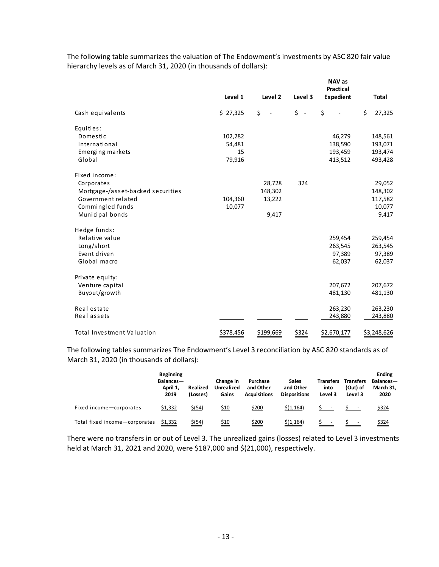The following table summarizes the valuation of The Endowment's investments by ASC 820 fair value hierarchy levels as of March 31, 2020 (in thousands of dollars):

|                                   | Level 1   | Level 2   | Level 3   | NAV as<br><b>Practical</b><br>Expedient | <b>Total</b> |
|-----------------------------------|-----------|-----------|-----------|-----------------------------------------|--------------|
| Cash equivalents                  | \$27,325  | \$        | $\zeta -$ | \$                                      | \$<br>27,325 |
| Equities:                         |           |           |           |                                         |              |
| Domestic                          | 102,282   |           |           | 46,279                                  | 148,561      |
| International                     | 54,481    |           |           | 138,590                                 | 193,071      |
| Emerging markets                  | 15        |           |           | 193,459                                 | 193,474      |
| Global                            | 79,916    |           |           | 413,512                                 | 493,428      |
| Fixed income:                     |           |           |           |                                         |              |
| Corporates                        |           | 28,728    | 324       |                                         | 29,052       |
| Mortgage-/asset-backed securities |           | 148,302   |           |                                         | 148,302      |
| Government related                | 104,360   | 13,222    |           |                                         | 117,582      |
| Commingled funds                  | 10,077    |           |           |                                         | 10,077       |
| Municipal bonds                   |           | 9,417     |           |                                         | 9,417        |
| Hedge funds:                      |           |           |           |                                         |              |
| Relative value                    |           |           |           | 259,454                                 | 259,454      |
| Long/short                        |           |           |           | 263,545                                 | 263,545      |
| Event driven                      |           |           |           | 97,389                                  | 97,389       |
| Global macro                      |           |           |           | 62,037                                  | 62,037       |
| Private equity:                   |           |           |           |                                         |              |
| Venture capital                   |           |           |           | 207,672                                 | 207,672      |
| Buyout/growth                     |           |           |           | 481,130                                 | 481,130      |
| Real estate                       |           |           |           | 263,230                                 | 263,230      |
| Real assets                       |           |           |           | 243,880                                 | 243,880      |
| <b>Total Investment Valuation</b> | \$378,456 | \$199,669 | \$324     | \$2,670,177                             | \$3,248,626  |

The following tables summarizes The Endowment's Level 3 reconciliation by ASC 820 standards as of March 31, 2020 (in thousands of dollars):

|                               | <b>Beginning</b><br>Balances-<br>April 1.<br>2019 | Realized<br>(Losses) | Change in<br><b>Unrealized</b><br>Gains | Purchase<br>and Other<br><b>Acquisitions</b> | <b>Sales</b><br>and Other<br><b>Dispositions</b> | <b>Transfers</b><br>into<br>Level 3 | <b>Transfers</b><br>(Out) of<br>Level 3 | <b>Ending</b><br>Balances-<br>March 31,<br>2020 |
|-------------------------------|---------------------------------------------------|----------------------|-----------------------------------------|----------------------------------------------|--------------------------------------------------|-------------------------------------|-----------------------------------------|-------------------------------------------------|
| Fixed income-corporates       | \$1,332                                           | \$(54)               | \$10                                    | \$200                                        | \$(1,164)                                        | \$ -                                |                                         | \$324                                           |
| Total fixed income-corporates | \$1,332                                           | \$(54)               | <u>\$10</u>                             | \$200                                        | \$(1,164)                                        |                                     |                                         | \$324                                           |

There were no transfers in or out of Level 3. The unrealized gains (losses) related to Level 3 investments held at March 31, 2021 and 2020, were \$187,000 and \$(21,000), respectively.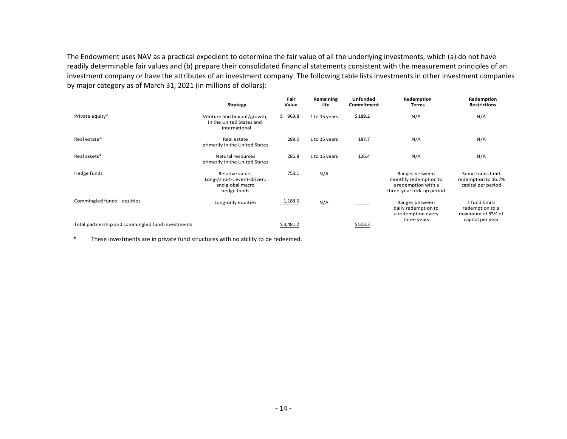The Endowment uses NAV as <sup>a</sup> practical expedient to determine the fair value of all the underlying investments, which (a) do not have readily determinable fair values and (b) prepare their consolidated financial statements consistent with the measurement principles of an investment company or have the attributes of an investment company. The following table lists investments in other investment companies by major category as of March 31, 2021 (in millions of dollars):

|                                                   | <b>Strategy</b>                                                                   | Fair<br>Value | Remaining<br>Life | Unfunded<br>Commitment | Redemption<br><b>Terms</b>                                                                  | Redemption<br><b>Restrictions</b>                                         |
|---------------------------------------------------|-----------------------------------------------------------------------------------|---------------|-------------------|------------------------|---------------------------------------------------------------------------------------------|---------------------------------------------------------------------------|
| Private equity*                                   | Venture and buyout/growth,<br>in the United States and<br>international           | \$963.8       | 1 to 15 years     | \$189.2                | N/A                                                                                         | N/A                                                                       |
| Real estate*                                      | Real estate<br>primarily in the United States                                     | 289.0         | 1 to 15 years     | 187.7                  | N/A                                                                                         | N/A                                                                       |
| Real assets*                                      | Natural resources<br>primarily in the United States                               | 286.8         | 1 to 15 years     | 126.4                  | N/A                                                                                         | N/A                                                                       |
| Hedge funds                                       | Relative value,<br>Long-/short-, event-driven,<br>and global macro<br>hedge funds | 753.1         | N/A               |                        | Ranges between<br>monthly redemption to<br>a redemption with a<br>three-year lock-up period | Some funds limit<br>redemption to 16.7%<br>capital per period             |
| Commingled funds-equities                         | Long-only equities                                                                | 1,188.5       | N/A               |                        | Ranges between<br>daily redemption to<br>a redemption every<br>three years                  | 1 fund limits<br>redemption to a<br>maximum of 33% of<br>capital per year |
| Total partnership and commingled fund investments |                                                                                   | \$3,481.2     |                   | \$503.3                |                                                                                             |                                                                           |

\*These investments are in private fund structures with no ability to be redeemed.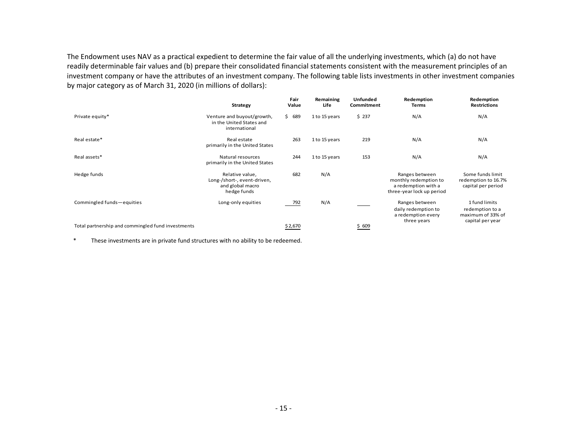The Endowment uses NAV as <sup>a</sup> practical expedient to determine the fair value of all the underlying investments, which (a) do not have readily determinable fair values and (b) prepare their consolidated financial statements consistent with the measurement principles of an investment company or have the attributes of an investment company. The following table lists investments in other investment companies by major category as of March 31, 2020 (in millions of dollars):

|                                                   | <b>Strategy</b>                                                                   | Fair<br>Value | Remaining<br>Life | <b>Unfunded</b><br>Commitment | Redemption<br><b>Terms</b>                                                                  | Redemption<br><b>Restrictions</b>                                         |
|---------------------------------------------------|-----------------------------------------------------------------------------------|---------------|-------------------|-------------------------------|---------------------------------------------------------------------------------------------|---------------------------------------------------------------------------|
| Private equity*                                   | Venture and buyout/growth,<br>in the United States and<br>international           | \$689         | 1 to 15 years     | \$237                         | N/A                                                                                         | N/A                                                                       |
| Real estate*                                      | Real estate<br>primarily in the United States                                     | 263           | 1 to 15 years     | 219                           | N/A                                                                                         | N/A                                                                       |
| Real assets*                                      | Natural resources<br>primarily in the United States                               | 244           | 1 to 15 years     | 153                           | N/A                                                                                         | N/A                                                                       |
| Hedge funds                                       | Relative value,<br>Long-/short-, event-driven,<br>and global macro<br>hedge funds | 682           | N/A               |                               | Ranges between<br>monthly redemption to<br>a redemption with a<br>three-year lock up period | Some funds limit<br>redemption to 16.7%<br>capital per period             |
| Commingled funds-equities                         | Long-only equities                                                                | 792           | N/A               |                               | Ranges between<br>daily redemption to<br>a redemption every<br>three years                  | 1 fund limits<br>redemption to a<br>maximum of 33% of<br>capital per year |
| Total partnership and commingled fund investments |                                                                                   | \$2,670       |                   | 5609                          |                                                                                             |                                                                           |

\*These investments are in private fund structures with no ability to be redeemed.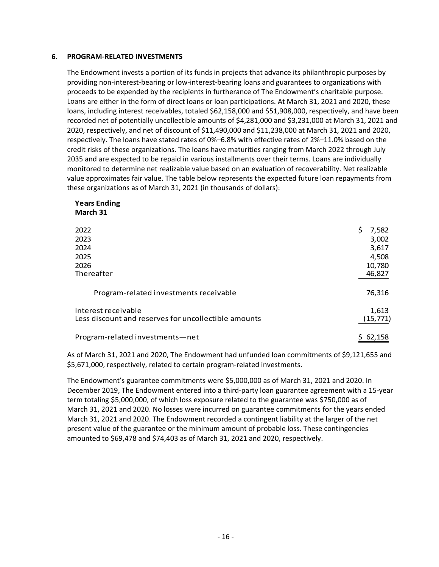#### **6. PROGRAM‐RELATED INVESTMENTS**

The Endowment invests a portion of its funds in projects that advance its philanthropic purposes by providing non‐interest‐bearing or low‐interest‐bearing loans and guarantees to organizations with proceeds to be expended by the recipients in furtherance of The Endowment's charitable purpose. Loans are either in the form of direct loans or loan participations. At March 31, 2021 and 2020, these loans, including interest receivables, totaled \$62,158,000 and \$51,908,000, respectively, and have been recorded net of potentially uncollectible amounts of \$4,281,000 and \$3,231,000 at March 31, 2021 and 2020, respectively, and net of discount of \$11,490,000 and \$11,238,000 at March 31, 2021 and 2020, respectively. The loans have stated rates of 0%–6.8% with effective rates of 2%–11.0% based on the credit risks of these organizations. The loans have maturities ranging from March 2022 through July 2035 and are expected to be repaid in various installments over their terms. Loans are individually monitored to determine net realizable value based on an evaluation of recoverability. Net realizable value approximates fair value. The table below represents the expected future loan repayments from these organizations as of March 31, 2021 (in thousands of dollars):

#### **Years Ending March 31**

| 2022<br>2023<br>2024<br>2025<br>2026<br>Thereafter                          | 7,582<br>3,002<br>3,617<br>4,508<br>10,780<br>46,827 |
|-----------------------------------------------------------------------------|------------------------------------------------------|
| Program-related investments receivable                                      | 76,316                                               |
| Interest receivable<br>Less discount and reserves for uncollectible amounts | 1,613<br>(15, 771)                                   |
| Program-related investments-net                                             | \$62,158                                             |

As of March 31, 2021 and 2020, The Endowment had unfunded loan commitments of \$9,121,655 and \$5,671,000, respectively, related to certain program‐related investments.

The Endowment's guarantee commitments were \$5,000,000 as of March 31, 2021 and 2020. In December 2019, The Endowment entered into a third-party loan guarantee agreement with a 15-year term totaling \$5,000,000, of which loss exposure related to the guarantee was \$750,000 as of March 31, 2021 and 2020. No losses were incurred on guarantee commitments for the years ended March 31, 2021 and 2020. The Endowment recorded a contingent liability at the larger of the net present value of the guarantee or the minimum amount of probable loss. These contingencies amounted to \$69,478 and \$74,403 as of March 31, 2021 and 2020, respectively.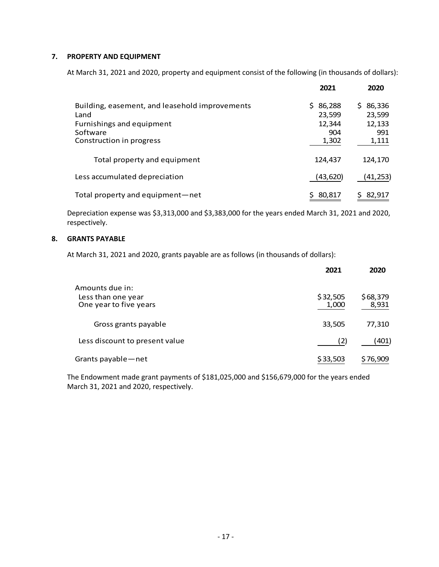#### **7. PROPERTY AND EQUIPMENT**

At March 31, 2021 and 2020, property and equipment consist of the following (in thousands of dollars):

|                                                | 2021         | 2020         |
|------------------------------------------------|--------------|--------------|
| Building, easement, and leasehold improvements | S.<br>86,288 | 86,336<br>S. |
| Land                                           | 23,599       | 23,599       |
| Furnishings and equipment                      | 12,344       | 12,133       |
| Software                                       | 904          | 991          |
| Construction in progress                       | 1,302        | 1,111        |
| Total property and equipment                   | 124,437      | 124.170      |
| Less accumulated depreciation                  | (43, 620)    | (41,253)     |
| Total property and equipment-net               | 80,817       | 82,917<br>S. |

Depreciation expense was \$3,313,000 and \$3,383,000 for the years ended March 31, 2021 and 2020, respectively.

#### **8. GRANTS PAYABLE**

At March 31, 2021 and 2020, grants payable are as follows (in thousands of dollars):

|                                                                 | 2021              | 2020              |
|-----------------------------------------------------------------|-------------------|-------------------|
| Amounts due in:<br>Less than one year<br>One year to five years | \$32,505<br>1,000 | \$68,379<br>8,931 |
| Gross grants payable                                            | 33,505            | 77,310            |
| Less discount to present value                                  | (2)               | (401)             |
| Grants payable-net                                              | \$33,503          | \$76,909          |

The Endowment made grant payments of \$181,025,000 and \$156,679,000 for the years ended March 31, 2021 and 2020, respectively.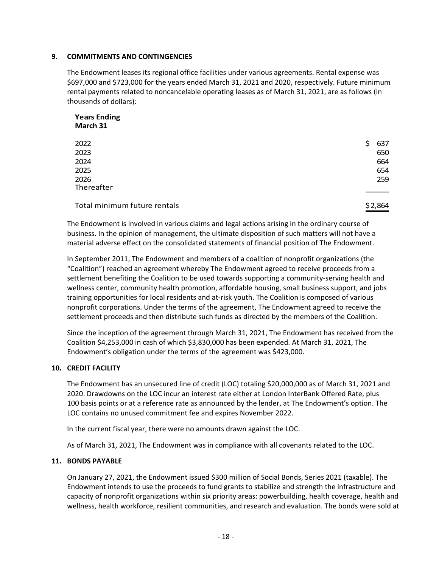#### **9. COMMITMENTS AND CONTINGENCIES**

The Endowment leases its regional office facilities under various agreements. Rental expense was \$697,000 and \$723,000 for the years ended March 31, 2021 and 2020, respectively. Future minimum rental payments related to noncancelable operating leases as of March 31, 2021, are as follows (in thousands of dollars):

**Years Ending March 31**

| 2022       | 637<br>\$ |
|------------|-----------|
| 2023       | 650       |
| 2024       | 664       |
| 2025       | 654       |
| 2026       | 259       |
| Thereafter |           |
|            |           |

Total minimum future rentals 2,864  $\sim$  2,864

The Endowment is involved in various claims and legal actions arising in the ordinary course of business. In the opinion of management, the ultimate disposition of such matters will not have a material adverse effect on the consolidated statements of financial position of The Endowment.

In September 2011, The Endowment and members of a coalition of nonprofit organizations (the "Coalition") reached an agreement whereby The Endowment agreed to receive proceeds from a settlement benefiting the Coalition to be used towards supporting a community-serving health and wellness center, community health promotion, affordable housing, small business support, and jobs training opportunities for local residents and at‐risk youth. The Coalition is composed of various nonprofit corporations. Under the terms of the agreement, The Endowment agreed to receive the settlement proceeds and then distribute such funds as directed by the members of the Coalition.

Since the inception of the agreement through March 31, 2021, The Endowment has received from the Coalition \$4,253,000 in cash of which \$3,830,000 has been expended. At March 31, 2021, The Endowment's obligation under the terms of the agreement was \$423,000.

#### **10. CREDIT FACILITY**

The Endowment has an unsecured line of credit (LOC) totaling \$20,000,000 as of March 31, 2021 and 2020. Drawdowns on the LOC incur an interest rate either at London InterBank Offered Rate, plus 100 basis points or at a reference rate as announced by the lender, at The Endowment's option. The LOC contains no unused commitment fee and expires November 2022.

In the current fiscal year, there were no amounts drawn against the LOC.

As of March 31, 2021, The Endowment was in compliance with all covenants related to the LOC.

#### **11. BONDS PAYABLE**

On January 27, 2021, the Endowment issued \$300 million of Social Bonds, Series 2021 (taxable). The Endowment intends to use the proceeds to fund grants to stabilize and strength the infrastructure and capacity of nonprofit organizations within six priority areas: powerbuilding, health coverage, health and wellness, health workforce, resilient communities, and research and evaluation. The bonds were sold at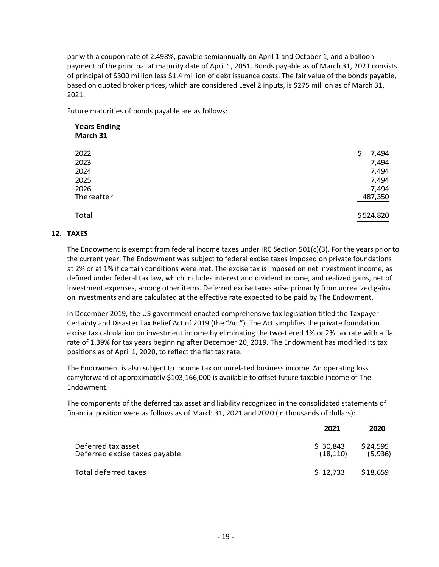par with a coupon rate of 2.498%, payable semiannually on April 1 and October 1, and a balloon payment of the principal at maturity date of April 1, 2051. Bonds payable as of March 31, 2021 consists of principal of \$300 million less \$1.4 million of debt issuance costs. The fair value of the bonds payable, based on quoted broker prices, which are considered Level 2 inputs, is \$275 million as of March 31, 2021.

Future maturities of bonds payable are as follows:

| <b>Years Ending</b><br>March 31 |            |
|---------------------------------|------------|
| 2022                            | 7,494<br>Ş |
| 2023                            | 7,494      |
| 2024                            | 7,494      |
| 2025                            | 7,494      |
| 2026                            | 7,494      |
| Thereafter                      | 487,350    |
| Total                           | \$524,820  |

#### **12. TAXES**

The Endowment is exempt from federal income taxes under IRC Section 501(c)(3). For the years prior to the current year, The Endowment was subject to federal excise taxes imposed on private foundations at 2% or at 1% if certain conditions were met. The excise tax is imposed on net investment income, as defined under federal tax law, which includes interest and dividend income, and realized gains, net of investment expenses, among other items. Deferred excise taxes arise primarily from unrealized gains on investments and are calculated at the effective rate expected to be paid by The Endowment.

In December 2019, the US government enacted comprehensive tax legislation titled the Taxpayer Certainty and Disaster Tax Relief Act of 2019 (the "Act"). The Act simplifies the private foundation excise tax calculation on investment income by eliminating the two-tiered 1% or 2% tax rate with a flat rate of 1.39% for tax years beginning after December 20, 2019. The Endowment has modified its tax positions as of April 1, 2020, to reflect the flat tax rate.

The Endowment is also subject to income tax on unrelated business income. An operating loss carryforward of approximately \$103,166,000 is available to offset future taxable income of The Endowment.

The components of the deferred tax asset and liability recognized in the consolidated statements of financial position were as follows as of March 31, 2021 and 2020 (in thousands of dollars):

|                                                     | 2021                  | 2020                |
|-----------------------------------------------------|-----------------------|---------------------|
| Deferred tax asset<br>Deferred excise taxes payable | \$30,843<br>(18, 110) | \$24,595<br>(5,936) |
| Total deferred taxes                                | \$12,733              | \$18,659            |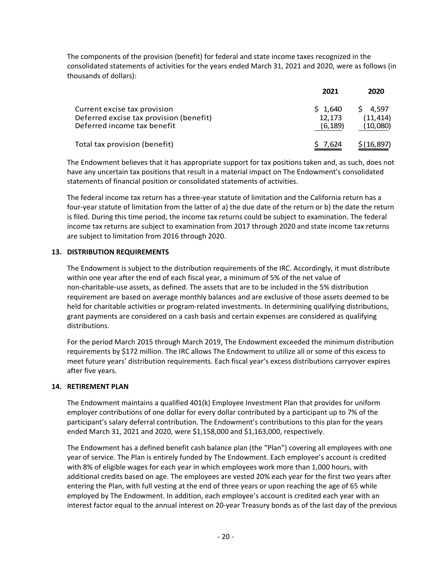The components of the provision (benefit) for federal and state income taxes recognized in the consolidated statements of activities for the years ended March 31, 2021 and 2020, were as follows (in thousands of dollars):

|                                                                                                        | 2021                          | 2020                            |
|--------------------------------------------------------------------------------------------------------|-------------------------------|---------------------------------|
| Current excise tax provision<br>Deferred excise tax provision (benefit)<br>Deferred income tax benefit | \$1,640<br>12,173<br>(6, 189) | 54.597<br>(11, 414)<br>(10,080) |
| Total tax provision (benefit)                                                                          | \$7,624                       | \$(16,897)                      |

The Endowment believes that it has appropriate support for tax positions taken and, as such, does not have any uncertain tax positions that result in a material impact on The Endowment's consolidated statements of financial position or consolidated statements of activities.

The federal income tax return has a three-year statute of limitation and the California return has a four‐year statute of limitation from the latter of a) the due date of the return or b) the date the return is filed. During this time period, the income tax returns could be subject to examination. The federal income tax returns are subject to examination from 2017 through 2020 and state income tax returns are subject to limitation from 2016 through 2020.

#### **13. DISTRIBUTION REQUIREMENTS**

The Endowment is subject to the distribution requirements of the IRC. Accordingly, it must distribute within one year after the end of each fiscal year, a minimum of 5% of the net value of non‐charitable‐use assets, as defined. The assets that are to be included in the 5% distribution requirement are based on average monthly balances and are exclusive of those assets deemed to be held for charitable activities or program-related investments. In determining qualifying distributions, grant payments are considered on a cash basis and certain expenses are considered as qualifying distributions.

For the period March 2015 through March 2019, The Endowment exceeded the minimum distribution requirements by \$172 million. The IRC allows The Endowment to utilize all or some of this excess to meet future years' distribution requirements. Each fiscal year's excess distributions carryover expires after five years.

#### **14. RETIREMENT PLAN**

The Endowment maintains a qualified 401(k) Employee Investment Plan that provides for uniform employer contributions of one dollar for every dollar contributed by a participant up to 7% of the participant's salary deferral contribution. The Endowment's contributions to this plan for the years ended March 31, 2021 and 2020, were \$1,158,000 and \$1,163,000, respectively.

The Endowment has a defined benefit cash balance plan (the "Plan") covering all employees with one year of service. The Plan is entirely funded by The Endowment. Each employee's account is credited with 8% of eligible wages for each year in which employees work more than 1,000 hours, with additional credits based on age. The employees are vested 20% each year for the first two years after entering the Plan, with full vesting at the end of three years or upon reaching the age of 65 while employed by The Endowment. In addition, each employee's account is credited each year with an interest factor equal to the annual interest on 20‐year Treasury bonds as of the last day of the previous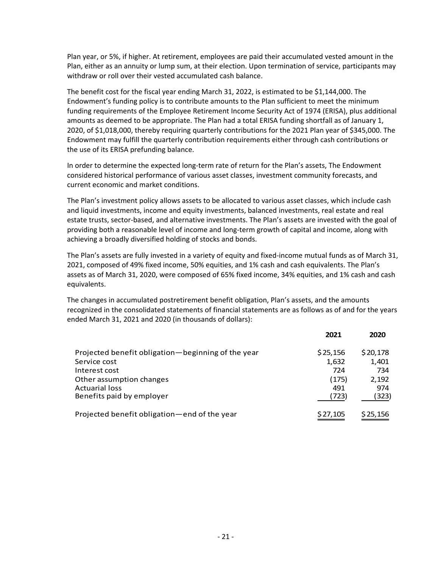Plan year, or 5%, if higher. At retirement, employees are paid their accumulated vested amount in the Plan, either as an annuity or lump sum, at their election. Upon termination of service, participants may withdraw or roll over their vested accumulated cash balance.

The benefit cost for the fiscal year ending March 31, 2022, is estimated to be \$1,144,000. The Endowment's funding policy is to contribute amounts to the Plan sufficient to meet the minimum funding requirements of the Employee Retirement Income Security Act of 1974 (ERISA), plus additional amounts as deemed to be appropriate. The Plan had a total ERISA funding shortfall as of January 1, 2020, of \$1,018,000, thereby requiring quarterly contributions for the 2021 Plan year of \$345,000. The Endowment may fulfill the quarterly contribution requirements either through cash contributions or the use of its ERISA prefunding balance.

In order to determine the expected long‐term rate of return for the Plan's assets, The Endowment considered historical performance of various asset classes, investment community forecasts, and current economic and market conditions.

The Plan's investment policy allows assets to be allocated to various asset classes, which include cash and liquid investments, income and equity investments, balanced investments, real estate and real estate trusts, sector‐based, and alternative investments. The Plan's assets are invested with the goal of providing both a reasonable level of income and long‐term growth of capital and income, along with achieving a broadly diversified holding of stocks and bonds.

The Plan's assets are fully invested in a variety of equity and fixed-income mutual funds as of March 31, 2021, composed of 49% fixed income, 50% equities, and 1% cash and cash equivalents. The Plan's assets as of March 31, 2020, were composed of 65% fixed income, 34% equities, and 1% cash and cash equivalents.

The changes in accumulated postretirement benefit obligation, Plan's assets, and the amounts recognized in the consolidated statements of financial statements are as follows as of and for the years ended March 31, 2021 and 2020 (in thousands of dollars):

|                                                    | 2021     | 2020     |
|----------------------------------------------------|----------|----------|
| Projected benefit obligation—beginning of the year | \$25,156 | \$20,178 |
| Service cost                                       | 1,632    | 1,401    |
| Interest cost                                      | 724      | 734      |
| Other assumption changes                           | (175)    | 2,192    |
| <b>Actuarial loss</b>                              | 491      | 974      |
| Benefits paid by employer                          | (723)    | (323)    |
| Projected benefit obligation-end of the year       | \$27,105 | \$25,156 |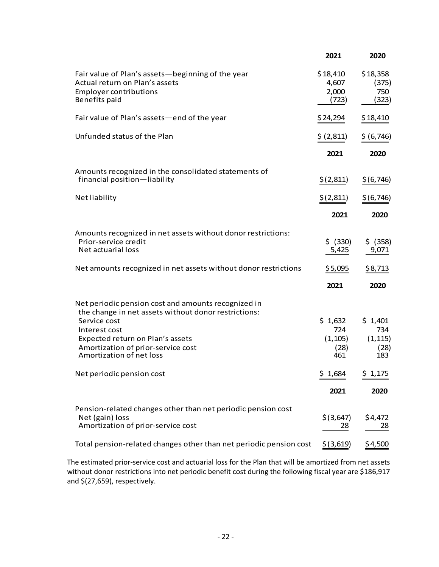|                                                                                                                                                                                                                                                    | 2021                                      | 2020                                      |
|----------------------------------------------------------------------------------------------------------------------------------------------------------------------------------------------------------------------------------------------------|-------------------------------------------|-------------------------------------------|
| Fair value of Plan's assets-beginning of the year<br>Actual return on Plan's assets<br><b>Employer contributions</b><br>Benefits paid                                                                                                              | \$18,410<br>4,607<br>2,000<br>(723)       | \$18,358<br>(375)<br>750<br>(323)         |
| Fair value of Plan's assets-end of the year                                                                                                                                                                                                        | \$24,294                                  | \$18,410                                  |
| Unfunded status of the Plan                                                                                                                                                                                                                        | \$ (2,811)                                | \$ (6, 746)                               |
|                                                                                                                                                                                                                                                    | 2021                                      | 2020                                      |
| Amounts recognized in the consolidated statements of<br>financial position-liability                                                                                                                                                               | \$(2,811)                                 | \$(6, 746)                                |
| Net liability                                                                                                                                                                                                                                      | \$(2,811)                                 | \$(6, 746)                                |
|                                                                                                                                                                                                                                                    | 2021                                      | 2020                                      |
| Amounts recognized in net assets without donor restrictions:<br>Prior-service credit<br>Net actuarial loss                                                                                                                                         | \$ (330)<br>5,425                         | \$ (358)<br>9,071                         |
| Net amounts recognized in net assets without donor restrictions                                                                                                                                                                                    | \$5,095                                   | \$8,713                                   |
|                                                                                                                                                                                                                                                    | 2021                                      | 2020                                      |
| Net periodic pension cost and amounts recognized in<br>the change in net assets without donor restrictions:<br>Service cost<br>Interest cost<br>Expected return on Plan's assets<br>Amortization of prior-service cost<br>Amortization of net loss | \$1,632<br>724<br>(1, 105)<br>(28)<br>461 | \$1,401<br>734<br>(1, 115)<br>(28)<br>183 |
| Net periodic pension cost                                                                                                                                                                                                                          | \$1,684                                   | \$1,175                                   |
|                                                                                                                                                                                                                                                    | 2021                                      | 2020                                      |
| Pension-related changes other than net periodic pension cost<br>Net (gain) loss<br>Amortization of prior-service cost                                                                                                                              | \$(3,647)<br>28                           | \$4,472<br>28                             |
| Total pension-related changes other than net periodic pension cost                                                                                                                                                                                 | \$(3,619)                                 | \$4,500                                   |

The estimated prior‐service cost and actuarial loss for the Plan that will be amortized from net assets without donor restrictions into net periodic benefit cost during the following fiscal year are \$186,917 and \$(27,659), respectively.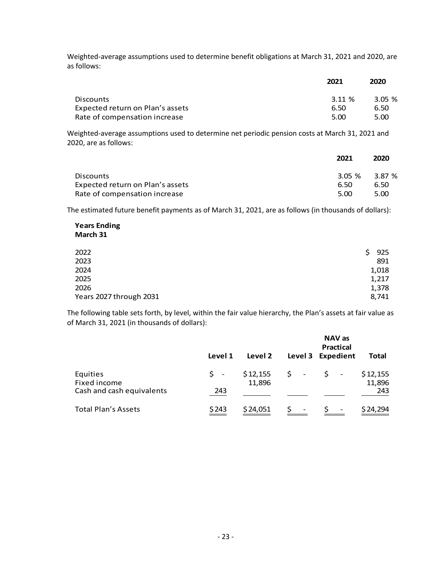Weighted‐average assumptions used to determine benefit obligations at March 31, 2021 and 2020, are as follows:

|                                  | 2021   | 2020   |
|----------------------------------|--------|--------|
| Discounts                        | 3.11 % | 3.05 % |
| Expected return on Plan's assets | 6.50   | 6.50   |
| Rate of compensation increase    | 5.00   | 5.00   |

Weighted‐average assumptions used to determine net periodic pension costs at March 31, 2021 and 2020, are as follows:

|                                  | 2021              | 2020 |
|----------------------------------|-------------------|------|
| Discounts                        | $3.05\%$ $3.87\%$ |      |
| Expected return on Plan's assets | 6.50              | 6.50 |
| Rate of compensation increase    | 5.00              | 5.00 |

The estimated future benefit payments as of March 31, 2021, are as follows (in thousands of dollars):

| <b>Years Ending</b><br>March 31 |           |
|---------------------------------|-----------|
| 2022                            | 925<br>S. |
| 2023                            | 891       |
| 2024                            | 1,018     |
| 2025                            | 1,217     |
| 2026                            | 1,378     |
| Years 2027 through 2031         | 8,741     |

The following table sets forth, by level, within the fair value hierarchy, the Plan's assets at fair value as of March 31, 2021 (in thousands of dollars):

|                                                       | Level 1      | Level 2            |           | <b>NAV</b> as<br><b>Practical</b><br>Level 3 Expedient | <b>Total</b>              |
|-------------------------------------------------------|--------------|--------------------|-----------|--------------------------------------------------------|---------------------------|
| Equities<br>Fixed income<br>Cash and cash equivalents | $S -$<br>243 | \$12,155<br>11,896 | $\zeta$ - | S.<br>$\overline{\phantom{a}}$                         | \$12,155<br>11,896<br>243 |
| <b>Total Plan's Assets</b>                            | \$243        | \$24,051           |           | S.                                                     | \$24,294                  |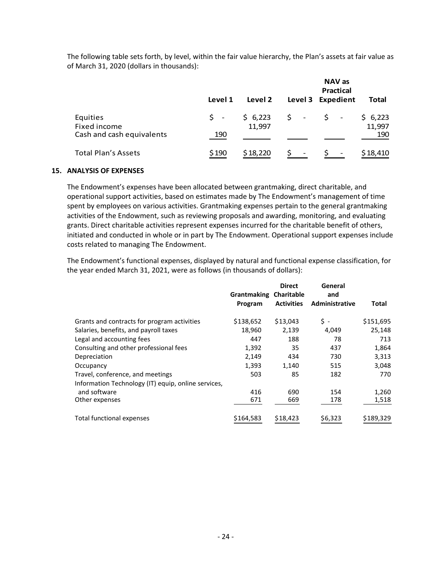The following table sets forth, by level, within the fair value hierarchy, the Plan's assets at fair value as of March 31, 2020 (dollars in thousands):

|                                                       | Level 1      | Level 2           |                 | <b>NAV</b> as<br><b>Practical</b><br>Level 3 Expedient | <b>Total</b>             |
|-------------------------------------------------------|--------------|-------------------|-----------------|--------------------------------------------------------|--------------------------|
| Equities<br>Fixed income<br>Cash and cash equivalents | $S -$<br>190 | \$6,223<br>11,997 | $\zeta - \zeta$ | $\overline{\phantom{a}}$                               | \$6,223<br>11,997<br>190 |
| <b>Total Plan's Assets</b>                            | \$190        | \$18,220          | $-$             | $\overline{\phantom{a}}$                               | \$18,410                 |

#### **15. ANALYSIS OF EXPENSES**

The Endowment's expenses have been allocated between grantmaking, direct charitable, and operational support activities, based on estimates made by The Endowment's management of time spent by employees on various activities. Grantmaking expenses pertain to the general grantmaking activities of the Endowment, such as reviewing proposals and awarding, monitoring, and evaluating grants. Direct charitable activities represent expenses incurred for the charitable benefit of others, initiated and conducted in whole or in part by The Endowment. Operational support expenses include costs related to managing The Endowment.

The Endowment's functional expenses, displayed by natural and functional expense classification, for the year ended March 31, 2021, were as follows (in thousands of dollars):

|                                                     | <b>Grantmaking Charitable</b><br>Program | <b>Direct</b><br><b>Activities</b> | General<br>and<br>Administrative | Total     |
|-----------------------------------------------------|------------------------------------------|------------------------------------|----------------------------------|-----------|
| Grants and contracts for program activities         | \$138,652                                | \$13,043                           | \$ -                             | \$151,695 |
| Salaries, benefits, and payroll taxes               | 18,960                                   | 2,139                              | 4,049                            | 25,148    |
| Legal and accounting fees                           | 447                                      | 188                                | 78                               | 713       |
| Consulting and other professional fees              | 1,392                                    | 35                                 | 437                              | 1,864     |
| Depreciation                                        | 2,149                                    | 434                                | 730                              | 3,313     |
| Occupancy                                           | 1,393                                    | 1,140                              | 515                              | 3,048     |
| Travel, conference, and meetings                    | 503                                      | 85                                 | 182                              | 770       |
| Information Technology (IT) equip, online services, |                                          |                                    |                                  |           |
| and software                                        | 416                                      | 690                                | 154                              | 1,260     |
| Other expenses                                      | 671                                      | 669                                | 178                              | 1,518     |
| Total functional expenses                           | \$164,583                                | \$18,423                           | \$6,323                          | \$189,329 |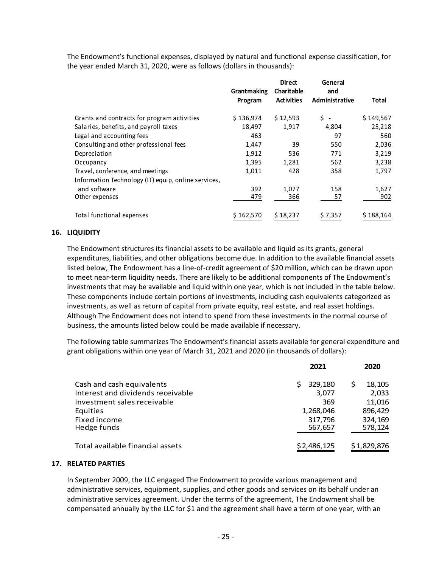The Endowment's functional expenses, displayed by natural and functional expense classification, for the year ended March 31, 2020, were as follows (dollars in thousands):

|                                                     | Grantmaking<br>Program | <b>Direct</b><br><b>Charitable</b><br><b>Activities</b> | General<br>and<br>Administrative | Total     |
|-----------------------------------------------------|------------------------|---------------------------------------------------------|----------------------------------|-----------|
| Grants and contracts for program activities         | \$136,974              | \$12,593                                                | \$ -                             | \$149,567 |
|                                                     |                        |                                                         |                                  |           |
| Salaries, benefits, and payroll taxes               | 18,497                 | 1,917                                                   | 4,804                            | 25,218    |
| Legal and accounting fees                           | 463                    |                                                         | 97                               | 560       |
| Consulting and other professional fees              | 1,447                  | 39                                                      | 550                              | 2,036     |
| Depreciation                                        | 1,912                  | 536                                                     | 771                              | 3,219     |
| Occupancy                                           | 1,395                  | 1,281                                                   | 562                              | 3,238     |
| Travel, conference, and meetings                    | 1,011                  | 428                                                     | 358                              | 1,797     |
| Information Technology (IT) equip, online services, |                        |                                                         |                                  |           |
| and software                                        | 392                    | 1,077                                                   | 158                              | 1,627     |
| Other expenses                                      | 479                    | 366                                                     | 57                               | 902       |
| Total functional expenses                           | \$162,570              | \$18,237                                                | \$ 7,357                         | \$188,164 |

#### **16. LIQUIDITY**

The Endowment structures its financial assets to be available and liquid as its grants, general expenditures, liabilities, and other obligations become due. In addition to the available financial assets listed below, The Endowment has a line‐of‐credit agreement of \$20 million, which can be drawn upon to meet near-term liquidity needs. There are likely to be additional components of The Endowment's investments that may be available and liquid within one year, which is not included in the table below. These components include certain portions of investments, including cash equivalents categorized as investments, as well as return of capital from private equity, real estate, and real asset holdings. Although The Endowment does not intend to spend from these investments in the normal course of business, the amounts listed below could be made available if necessary.

The following table summarizes The Endowment's financial assets available for general expenditure and grant obligations within one year of March 31, 2021 and 2020 (in thousands of dollars):

|                                   | 2021          | 2020        |
|-----------------------------------|---------------|-------------|
| Cash and cash equivalents         | 329,180<br>S. | 18,105<br>S |
| Interest and dividends receivable | 3,077         | 2,033       |
| Investment sales receivable       | 369           | 11,016      |
| Equities                          | 1,268,046     | 896,429     |
| Fixed income                      | 317,796       | 324,169     |
| Hedge funds                       | 567,657       | 578,124     |
| Total available financial assets  | \$2,486,125   | \$1,829,876 |

#### **17. RELATED PARTIES**

In September 2009, the LLC engaged The Endowment to provide various management and administrative services, equipment, supplies, and other goods and services on its behalf under an administrative services agreement. Under the terms of the agreement, The Endowment shall be compensated annually by the LLC for \$1 and the agreement shall have a term of one year, with an